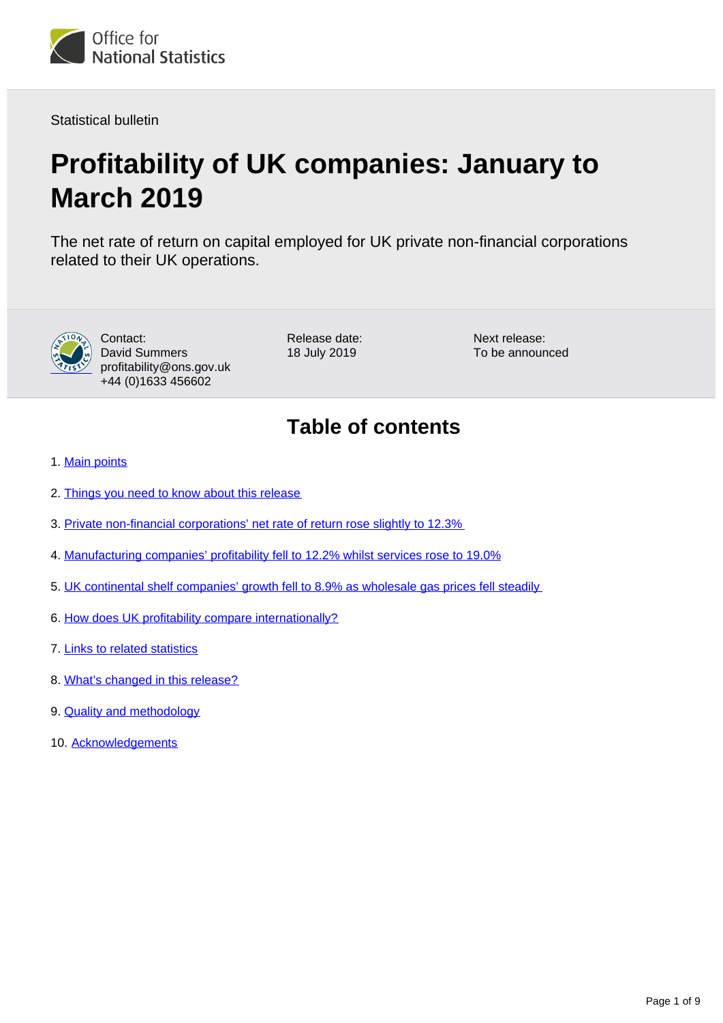

Statistical bulletin

# **Profitability of UK companies: January to March 2019**

The net rate of return on capital employed for UK private non-financial corporations related to their UK operations.



Contact: David Summers profitability@ons.gov.uk +44 (0)1633 456602

Release date: 18 July 2019

Next release: To be announced

## **Table of contents**

- 1. [Main points](#page-1-0)
- 2. [Things you need to know about this release](#page-1-1)
- 3. [Private non-financial corporations' net rate of return rose slightly to 12.3%](#page-1-2)
- 4. [Manufacturing companies' profitability fell to 12.2% whilst services rose to 19.0%](#page-2-0)
- 5. [UK continental shelf companies' growth fell to 8.9% as wholesale gas prices fell steadily](#page-4-0)
- 6. [How does UK profitability compare internationally?](#page-5-0)
- 7. [Links to related statistics](#page-6-0)
- 8. [What's changed in this release?](#page-7-0)
- 9. **[Quality and methodology](#page-7-1)**
- 10. [Acknowledgements](#page-8-0)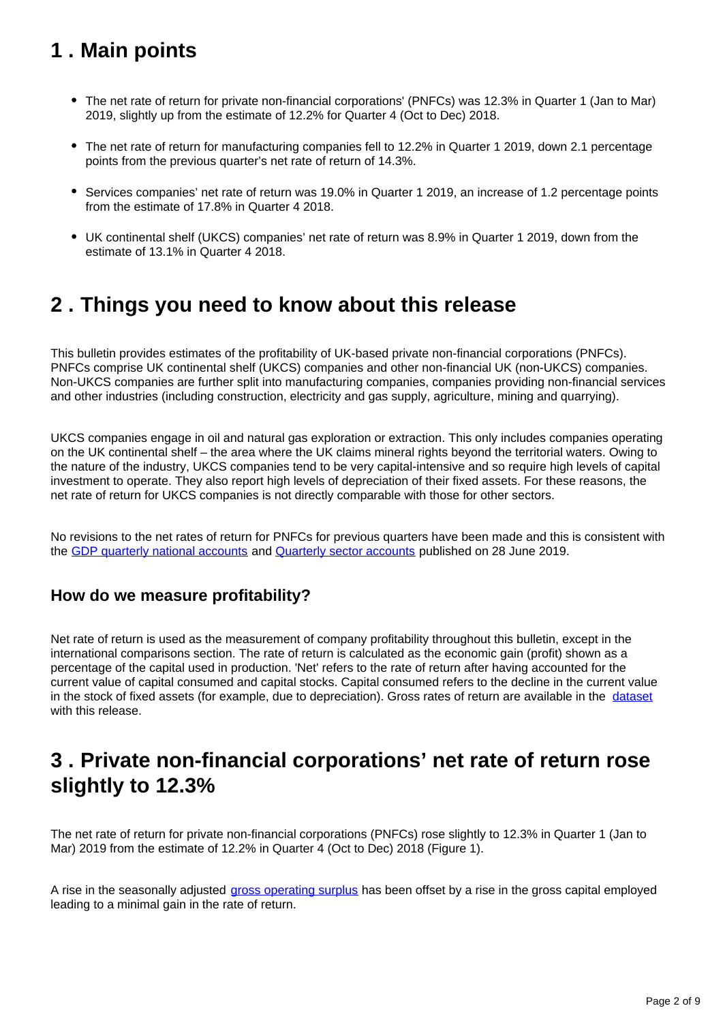## <span id="page-1-0"></span>**1 . Main points**

- The net rate of return for private non-financial corporations' (PNFCs) was 12.3% in Quarter 1 (Jan to Mar) 2019, slightly up from the estimate of 12.2% for Quarter 4 (Oct to Dec) 2018.
- The net rate of return for manufacturing companies fell to 12.2% in Quarter 1 2019, down 2.1 percentage points from the previous quarter's net rate of return of 14.3%.
- Services companies' net rate of return was 19.0% in Quarter 1 2019, an increase of 1.2 percentage points from the estimate of 17.8% in Quarter 4 2018.
- UK continental shelf (UKCS) companies' net rate of return was 8.9% in Quarter 1 2019, down from the estimate of 13.1% in Quarter 4 2018.

## <span id="page-1-1"></span>**2 . Things you need to know about this release**

This bulletin provides estimates of the profitability of UK-based private non-financial corporations (PNFCs). PNFCs comprise UK continental shelf (UKCS) companies and other non-financial UK (non-UKCS) companies. Non-UKCS companies are further split into manufacturing companies, companies providing non-financial services and other industries (including construction, electricity and gas supply, agriculture, mining and quarrying).

UKCS companies engage in oil and natural gas exploration or extraction. This only includes companies operating on the UK continental shelf – the area where the UK claims mineral rights beyond the territorial waters. Owing to the nature of the industry, UKCS companies tend to be very capital-intensive and so require high levels of capital investment to operate. They also report high levels of depreciation of their fixed assets. For these reasons, the net rate of return for UKCS companies is not directly comparable with those for other sectors.

No revisions to the net rates of return for PNFCs for previous quarters have been made and this is consistent with the [GDP quarterly national accounts](https://www.ons.gov.uk/economy/grossdomesticproductgdp/bulletins/quarterlynationalaccounts/januarytomarch2019) and [Quarterly sector accounts](https://www.ons.gov.uk/economy/nationalaccounts/uksectoraccounts/bulletins/quarterlysectoraccounts/januarytomarch2019) published on 28 June 2019.

### **How do we measure profitability?**

Net rate of return is used as the measurement of company profitability throughout this bulletin, except in the international comparisons section. The rate of return is calculated as the economic gain (profit) shown as a percentage of the capital used in production. 'Net' refers to the rate of return after having accounted for the current value of capital consumed and capital stocks. Capital consumed refers to the decline in the current value in the stock of fixed assets (for example, due to depreciation). Gross rates of return are available in the [dataset](https://www.ons.gov.uk/economy/nationalaccounts/uksectoraccounts/datasets/profitabilityofukcompaniesreferencetable) with this release.

## <span id="page-1-2"></span>**3 . Private non-financial corporations' net rate of return rose slightly to 12.3%**

The net rate of return for private non-financial corporations (PNFCs) rose slightly to 12.3% in Quarter 1 (Jan to Mar) 2019 from the estimate of 12.2% in Quarter 4 (Oct to Dec) 2018 (Figure 1).

A rise in the seasonally adjusted [gross operating surplus](https://ec.europa.eu/eurostat/statistics-explained/index.php/Glossary:Gross_operating_surplus_(GOS)_-_NA) has been offset by a rise in the gross capital employed leading to a minimal gain in the rate of return.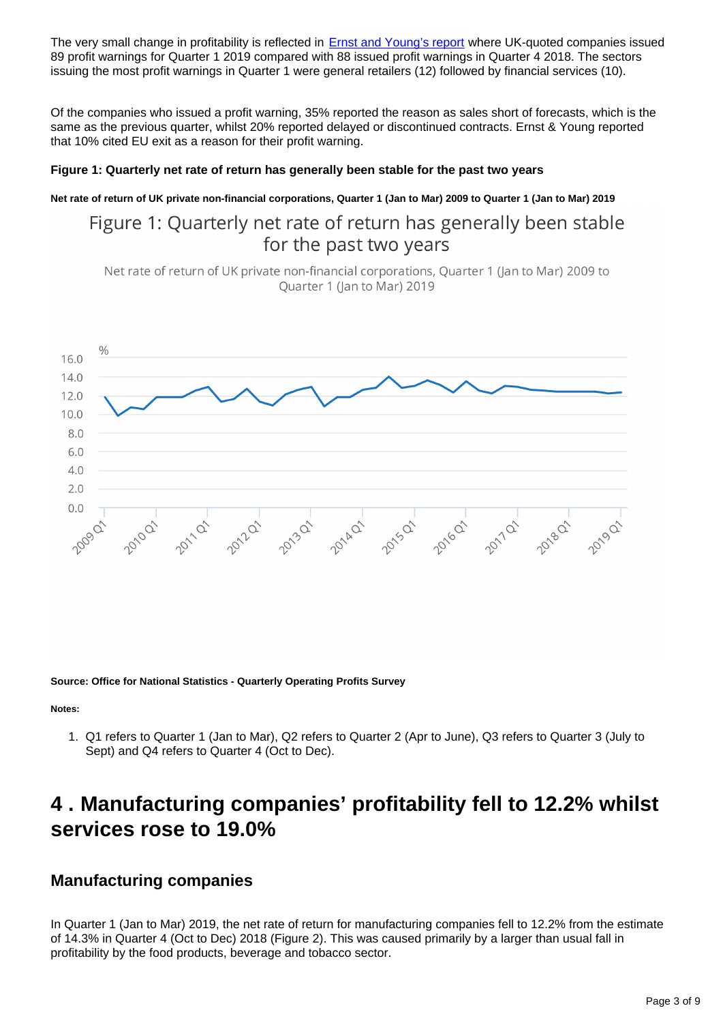The very small change in profitability is reflected in **Ernst and Young's report** where UK-quoted companies issued 89 profit warnings for Quarter 1 2019 compared with 88 issued profit warnings in Quarter 4 2018. The sectors issuing the most profit warnings in Quarter 1 were general retailers (12) followed by financial services (10).

Of the companies who issued a profit warning, 35% reported the reason as sales short of forecasts, which is the same as the previous quarter, whilst 20% reported delayed or discontinued contracts. Ernst & Young reported that 10% cited EU exit as a reason for their profit warning.

### **Figure 1: Quarterly net rate of return has generally been stable for the past two years**

**Net rate of return of UK private non-financial corporations, Quarter 1 (Jan to Mar) 2009 to Quarter 1 (Jan to Mar) 2019**

### Figure 1: Quarterly net rate of return has generally been stable for the past two years

Net rate of return of UK private non-financial corporations, Quarter 1 (Jan to Mar) 2009 to Quarter 1 (Jan to Mar) 2019



**Source: Office for National Statistics - Quarterly Operating Profits Survey**

**Notes:**

1. Q1 refers to Quarter 1 (Jan to Mar), Q2 refers to Quarter 2 (Apr to June), Q3 refers to Quarter 3 (July to Sept) and Q4 refers to Quarter 4 (Oct to Dec).

## <span id="page-2-0"></span>**4 . Manufacturing companies' profitability fell to 12.2% whilst services rose to 19.0%**

### **Manufacturing companies**

In Quarter 1 (Jan to Mar) 2019, the net rate of return for manufacturing companies fell to 12.2% from the estimate of 14.3% in Quarter 4 (Oct to Dec) 2018 (Figure 2). This was caused primarily by a larger than usual fall in profitability by the food products, beverage and tobacco sector.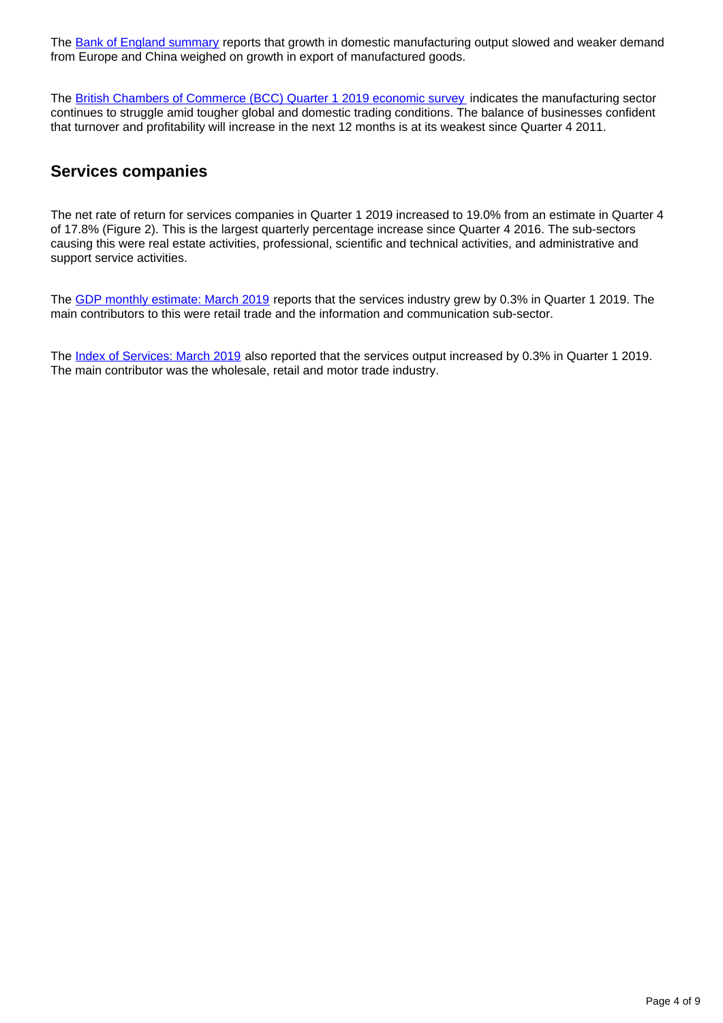The [Bank of England summary](https://www.bankofengland.co.uk/agents-summary/2019/2019-q1) reports that growth in domestic manufacturing output slowed and weaker demand from Europe and China weighed on growth in export of manufactured goods.

The [British Chambers of Commerce \(BCC\) Quarter 1 2019 economic survey](https://www.britishchambers.org.uk/news/2019/04/bcc-quarterly-economic-survey-q1-2019-business-hits-the-brakes) indicates the manufacturing sector continues to struggle amid tougher global and domestic trading conditions. The balance of businesses confident that turnover and profitability will increase in the next 12 months is at its weakest since Quarter 4 2011.

### **Services companies**

The net rate of return for services companies in Quarter 1 2019 increased to 19.0% from an estimate in Quarter 4 of 17.8% (Figure 2). This is the largest quarterly percentage increase since Quarter 4 2016. The sub-sectors causing this were real estate activities, professional, scientific and technical activities, and administrative and support service activities.

The [GDP monthly estimate: March 2019](https://www.ons.gov.uk/economy/grossdomesticproductgdp/bulletins/gdpmonthlyestimateuk/march2019) reports that the services industry grew by 0.3% in Quarter 1 2019. The main contributors to this were retail trade and the information and communication sub-sector.

The [Index of Services: March 2019](https://www.ons.gov.uk/economy/economicoutputandproductivity/output/bulletins/indexofservices/march2019) also reported that the services output increased by 0.3% in Quarter 1 2019. The main contributor was the wholesale, retail and motor trade industry.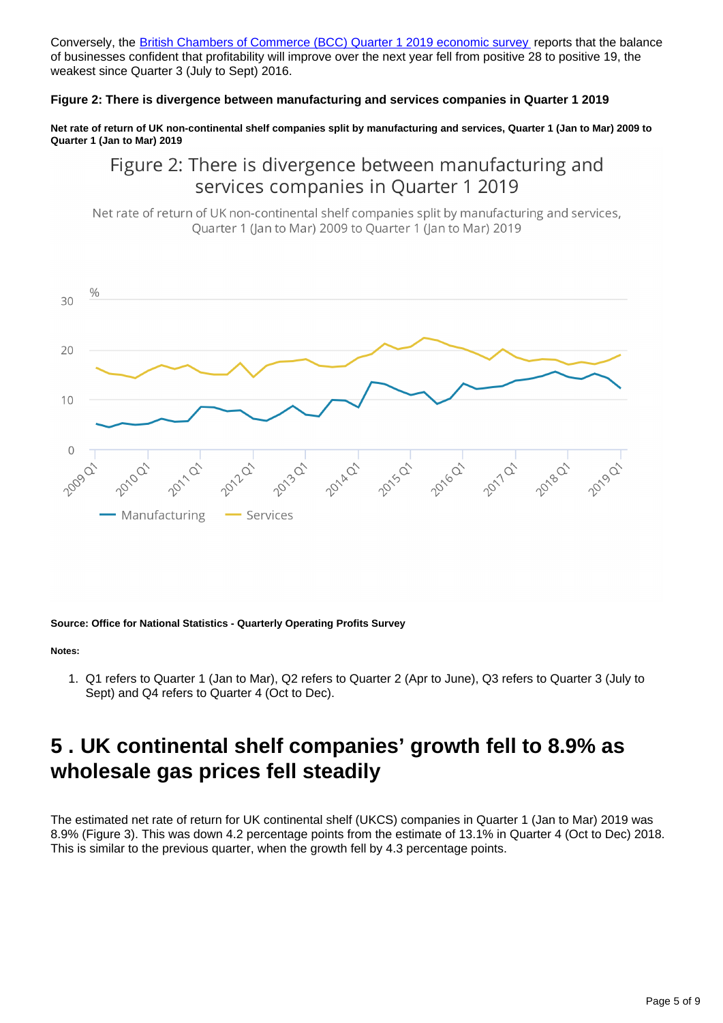Conversely, the **[British Chambers of Commerce \(BCC\) Quarter 1 2019 economic survey](https://www.britishchambers.org.uk/news/2019/04/bcc-quarterly-economic-survey-q1-2019-business-hits-the-brakes)** reports that the balance of businesses confident that profitability will improve over the next year fell from positive 28 to positive 19, the weakest since Quarter 3 (July to Sept) 2016.

### **Figure 2: There is divergence between manufacturing and services companies in Quarter 1 2019**

**Net rate of return of UK non-continental shelf companies split by manufacturing and services, Quarter 1 (Jan to Mar) 2009 to Quarter 1 (Jan to Mar) 2019**

Figure 2: There is divergence between manufacturing and services companies in Quarter 1 2019

Net rate of return of UK non-continental shelf companies split by manufacturing and services, Quarter 1 (Jan to Mar) 2009 to Quarter 1 (Jan to Mar) 2019



#### **Source: Office for National Statistics - Quarterly Operating Profits Survey**

#### **Notes:**

1. Q1 refers to Quarter 1 (Jan to Mar), Q2 refers to Quarter 2 (Apr to June), Q3 refers to Quarter 3 (July to Sept) and Q4 refers to Quarter 4 (Oct to Dec).

## <span id="page-4-0"></span>**5 . UK continental shelf companies' growth fell to 8.9% as wholesale gas prices fell steadily**

The estimated net rate of return for UK continental shelf (UKCS) companies in Quarter 1 (Jan to Mar) 2019 was 8.9% (Figure 3). This was down 4.2 percentage points from the estimate of 13.1% in Quarter 4 (Oct to Dec) 2018. This is similar to the previous quarter, when the growth fell by 4.3 percentage points.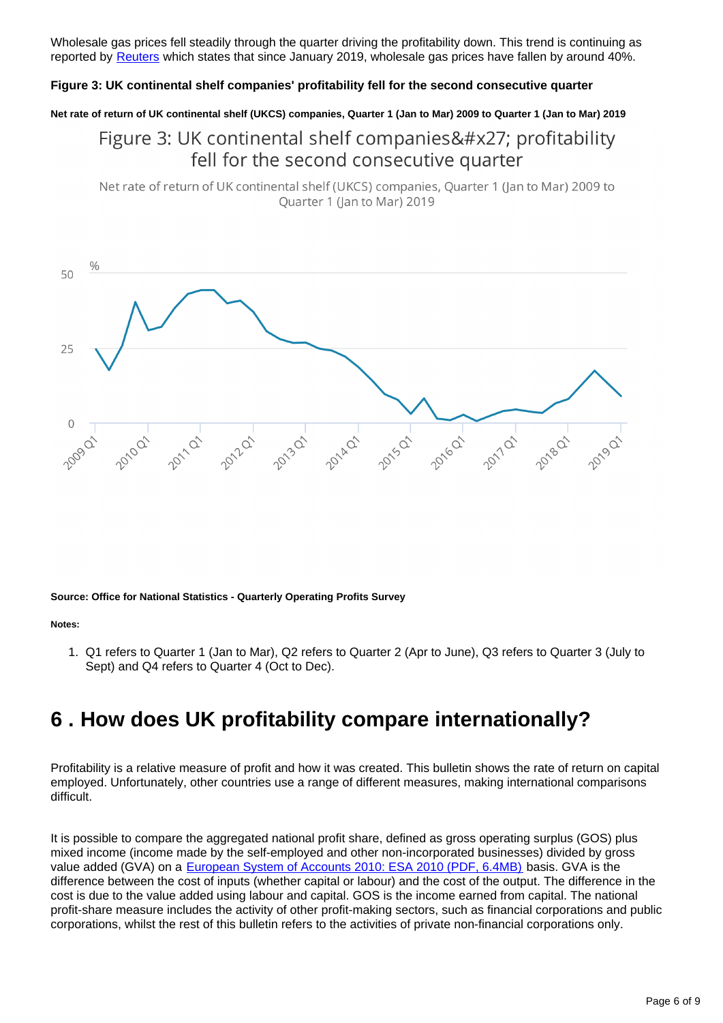Wholesale gas prices fell steadily through the quarter driving the profitability down. This trend is continuing as reported by [Reuters](https://uk.reuters.com/article/uk-britain-gas-prices/sustained-low-british-gas-prices-point-to-price-cap-reduction-idUKKCN1S61XW) which states that since January 2019, wholesale gas prices have fallen by around 40%.

#### **Figure 3: UK continental shelf companies' profitability fell for the second consecutive quarter**

**Net rate of return of UK continental shelf (UKCS) companies, Quarter 1 (Jan to Mar) 2009 to Quarter 1 (Jan to Mar) 2019**

### Figure 3: UK continental shelf companies' profitability fell for the second consecutive quarter

Net rate of return of UK continental shelf (UKCS) companies, Quarter 1 (Jan to Mar) 2009 to Ouarter 1 (lan to Mar) 2019



**Source: Office for National Statistics - Quarterly Operating Profits Survey**

#### **Notes:**

1. Q1 refers to Quarter 1 (Jan to Mar), Q2 refers to Quarter 2 (Apr to June), Q3 refers to Quarter 3 (July to Sept) and Q4 refers to Quarter 4 (Oct to Dec).

## <span id="page-5-0"></span>**6 . How does UK profitability compare internationally?**

Profitability is a relative measure of profit and how it was created. This bulletin shows the rate of return on capital employed. Unfortunately, other countries use a range of different measures, making international comparisons difficult.

It is possible to compare the aggregated national profit share, defined as gross operating surplus (GOS) plus mixed income (income made by the self-employed and other non-incorporated businesses) divided by gross value added (GVA) on a [European System of Accounts 2010: ESA 2010 \(PDF, 6.4MB\)](http://ec.europa.eu/eurostat/documents/3859598/5925693/KS-02-13-269-EN.PDF/44cd9d01-bc64-40e5-bd40-d17df0c69334) basis. GVA is the difference between the cost of inputs (whether capital or labour) and the cost of the output. The difference in the cost is due to the value added using labour and capital. GOS is the income earned from capital. The national profit-share measure includes the activity of other profit-making sectors, such as financial corporations and public corporations, whilst the rest of this bulletin refers to the activities of private non-financial corporations only.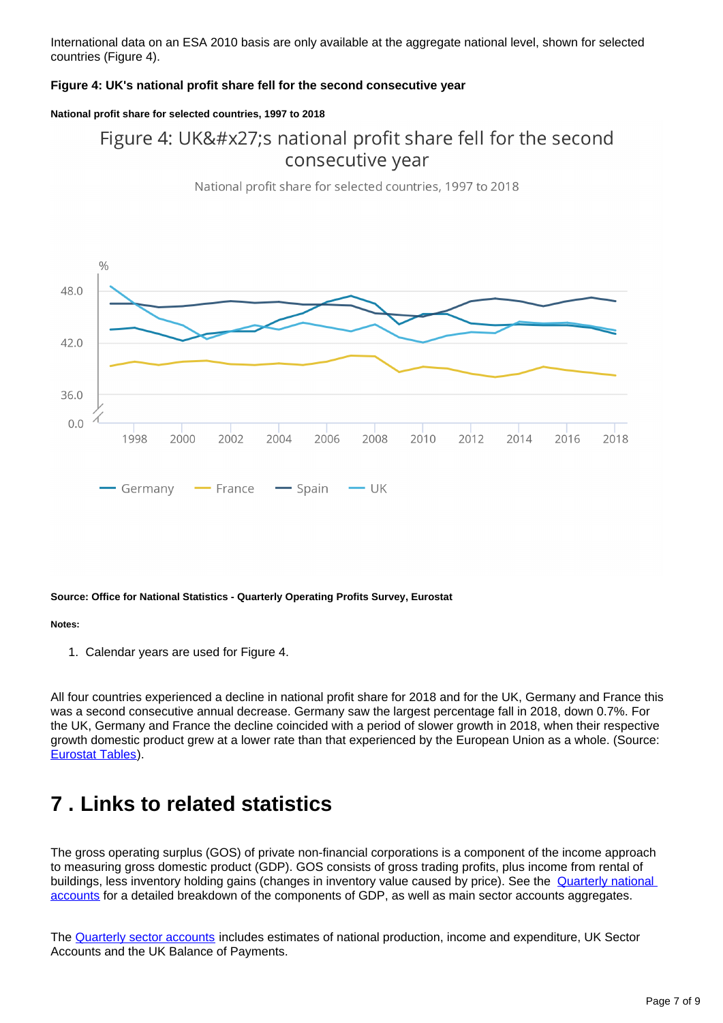International data on an ESA 2010 basis are only available at the aggregate national level, shown for selected countries (Figure 4).

### **Figure 4: UK's national profit share fell for the second consecutive year**

#### **National profit share for selected countries, 1997 to 2018**

### Figure 4: UK's national profit share fell for the second consecutive year



National profit share for selected countries, 1997 to 2018

#### **Source: Office for National Statistics - Quarterly Operating Profits Survey, Eurostat**

#### **Notes:**

1. Calendar years are used for Figure 4.

All four countries experienced a decline in national profit share for 2018 and for the UK, Germany and France this was a second consecutive annual decrease. Germany saw the largest percentage fall in 2018, down 0.7%. For the UK, Germany and France the decline coincided with a period of slower growth in 2018, when their respective growth domestic product grew at a lower rate than that experienced by the European Union as a whole. (Source: [Eurostat Tables\)](https://ec.europa.eu/eurostat/tgm/table.do?tab=table&init=1&language=en&pcode=tec00115&plugin=1).

## <span id="page-6-0"></span>**7 . Links to related statistics**

The gross operating surplus (GOS) of private non-financial corporations is a component of the income approach to measuring gross domestic product (GDP). GOS consists of gross trading profits, plus income from rental of buildings, less inventory holding gains (changes in inventory value caused by price). See the **Quarterly national** [accounts](https://www.ons.gov.uk/economy/grossdomesticproductgdp/bulletins/quarterlynationalaccounts/previousReleases) for a detailed breakdown of the components of GDP, as well as main sector accounts aggregates.

The [Quarterly sector accounts](https://www.ons.gov.uk/economy/nationalaccounts/uksectoraccounts/bulletins/quarterlysectoraccounts/previousReleases) includes estimates of national production, income and expenditure, UK Sector Accounts and the UK Balance of Payments.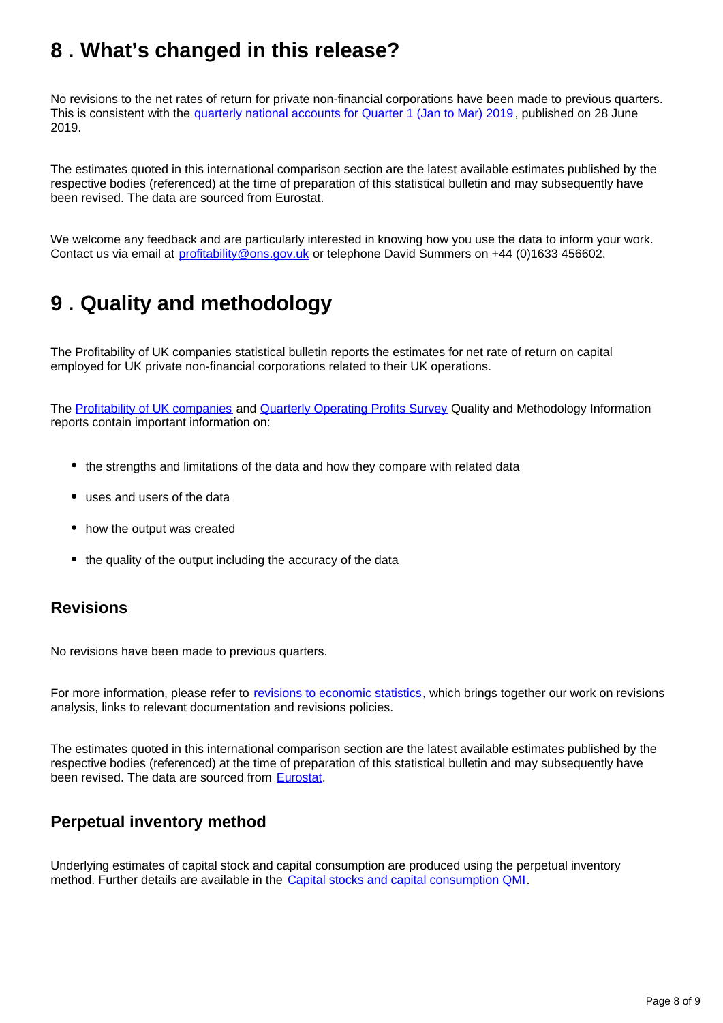## <span id="page-7-0"></span>**8 . What's changed in this release?**

No revisions to the net rates of return for private non-financial corporations have been made to previous quarters. This is consistent with the [quarterly national accounts for Quarter 1 \(Jan to Mar\) 2019](https://www.ons.gov.uk/economy/grossdomesticproductgdp/bulletins/quarterlynationalaccounts/januarytomarch2019), published on 28 June 2019.

The estimates quoted in this international comparison section are the latest available estimates published by the respective bodies (referenced) at the time of preparation of this statistical bulletin and may subsequently have been revised. The data are sourced from Eurostat.

We welcome any feedback and are particularly interested in knowing how you use the data to inform your work. Contact us via email at profitability@ons.gov.uk or telephone David Summers on +44 (0)1633 456602.

## <span id="page-7-1"></span>**9 . Quality and methodology**

The Profitability of UK companies statistical bulletin reports the estimates for net rate of return on capital employed for UK private non-financial corporations related to their UK operations.

The [Profitability of UK companies](https://www.ons.gov.uk/economy/nationalaccounts/uksectoraccounts/methodologies/profitabilityofukcompaniesqmi) and [Quarterly Operating Profits Survey](https://www.ons.gov.uk/economy/nationalaccounts/uksectoraccounts/qmis/quarterlyoperatingprofitssurvey) Quality and Methodology Information reports contain important information on:

- the strengths and limitations of the data and how they compare with related data
- uses and users of the data
- how the output was created
- the quality of the output including the accuracy of the data

### **Revisions**

No revisions have been made to previous quarters.

For more information, please refer to [revisions to economic statistics](http://www.ons.gov.uk/methodology/methodologytopicsandstatisticalconcepts/revisions/revisionspoliciesforeconomicstatistics), which brings together our work on revisions analysis, links to relevant documentation and revisions policies.

The estimates quoted in this international comparison section are the latest available estimates published by the respective bodies (referenced) at the time of preparation of this statistical bulletin and may subsequently have been revised. The data are sourced from **[Eurostat](http://ec.europa.eu/eurostat/data/database)**.

### **Perpetual inventory method**

Underlying estimates of capital stock and capital consumption are produced using the perpetual inventory method. Further details are available in the [Capital stocks and capital consumption QMI.](https://www.ons.gov.uk/economy/nationalaccounts/uksectoraccounts/methodologies/capitalstocksandcapitalconsumptionqmi)